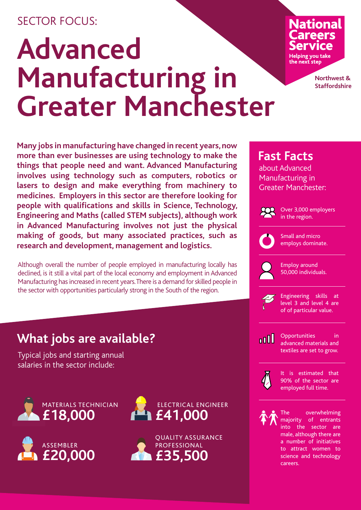### SECTOR FOCUS:

## **Advanced Manufacturing in Greater Manchester**

# **National**

Helping you take the next step

> **Northwest & Staffordshire**

**Many jobs in manufacturing have changed in recent years, now more than ever businesses are using technology to make the things that people need and want. Advanced Manufacturing involves using technology such as computers, robotics or lasers to design and make everything from machinery to medicines. Employers in this sector are therefore looking for people with qualifications and skills in Science, Technology, Engineering and Maths (called STEM subjects), although work in Advanced Manufacturing involves not just the physical making of goods, but many associated practices, such as research and development, management and logistics.**

Although overall the number of people employed in manufacturing locally has declined, is it still a vital part of the local economy and employment in Advanced Manufacturing has increased in recent years. There is a demand for skilled people in the sector with opportunities particularly strong in the South of the region.

## **What jobs are available?**

Typical jobs and starting annual salaries in the sector include:













Over 3,000 employers in the region.



Small and micro employs dominate.

Employ around 50,000 individuals.



Engineering skills at level 3 and level 4 are of of particular value.

<u>noll</u>

Opportunities in advanced materials and textiles are set to grow.



It is estimated that 90% of the sector are employed full time.



The overwhelming majority of entrants into the sector are male, although there are a number of initiatives to attract women to science and technology careers.